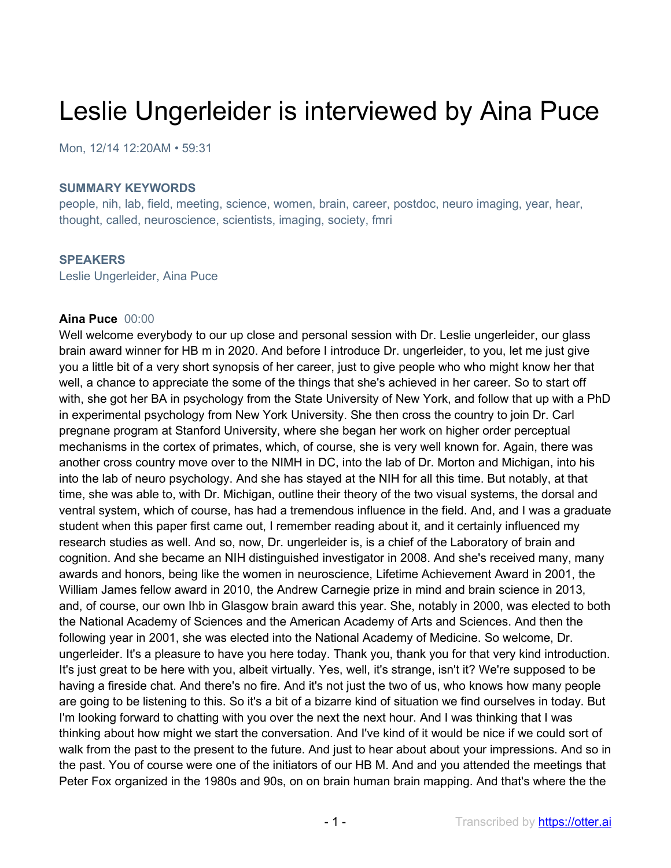# Leslie Ungerleider is interviewed by Aina Puce

Mon, 12/14 12:20AM • 59:31

#### **SUMMARY KEYWORDS**

people, nih, lab, field, meeting, science, women, brain, career, postdoc, neuro imaging, year, hear, thought, called, neuroscience, scientists, imaging, society, fmri

#### **SPEAKERS**

Leslie Ungerleider, Aina Puce

#### **Aina Puce** 00:00

Well welcome everybody to our up close and personal session with Dr. Leslie ungerleider, our glass brain award winner for HB m in 2020. And before I introduce Dr. ungerleider, to you, let me just give you a little bit of a very short synopsis of her career, just to give people who who might know her that well, a chance to appreciate the some of the things that she's achieved in her career. So to start off with, she got her BA in psychology from the State University of New York, and follow that up with a PhD in experimental psychology from New York University. She then cross the country to join Dr. Carl pregnane program at Stanford University, where she began her work on higher order perceptual mechanisms in the cortex of primates, which, of course, she is very well known for. Again, there was another cross country move over to the NIMH in DC, into the lab of Dr. Morton and Michigan, into his into the lab of neuro psychology. And she has stayed at the NIH for all this time. But notably, at that time, she was able to, with Dr. Michigan, outline their theory of the two visual systems, the dorsal and ventral system, which of course, has had a tremendous influence in the field. And, and I was a graduate student when this paper first came out, I remember reading about it, and it certainly influenced my research studies as well. And so, now, Dr. ungerleider is, is a chief of the Laboratory of brain and cognition. And she became an NIH distinguished investigator in 2008. And she's received many, many awards and honors, being like the women in neuroscience, Lifetime Achievement Award in 2001, the William James fellow award in 2010, the Andrew Carnegie prize in mind and brain science in 2013, and, of course, our own Ihb in Glasgow brain award this year. She, notably in 2000, was elected to both the National Academy of Sciences and the American Academy of Arts and Sciences. And then the following year in 2001, she was elected into the National Academy of Medicine. So welcome, Dr. ungerleider. It's a pleasure to have you here today. Thank you, thank you for that very kind introduction. It's just great to be here with you, albeit virtually. Yes, well, it's strange, isn't it? We're supposed to be having a fireside chat. And there's no fire. And it's not just the two of us, who knows how many people are going to be listening to this. So it's a bit of a bizarre kind of situation we find ourselves in today. But I'm looking forward to chatting with you over the next the next hour. And I was thinking that I was thinking about how might we start the conversation. And I've kind of it would be nice if we could sort of walk from the past to the present to the future. And just to hear about about your impressions. And so in the past. You of course were one of the initiators of our HB M. And and you attended the meetings that Peter Fox organized in the 1980s and 90s, on on brain human brain mapping. And that's where the the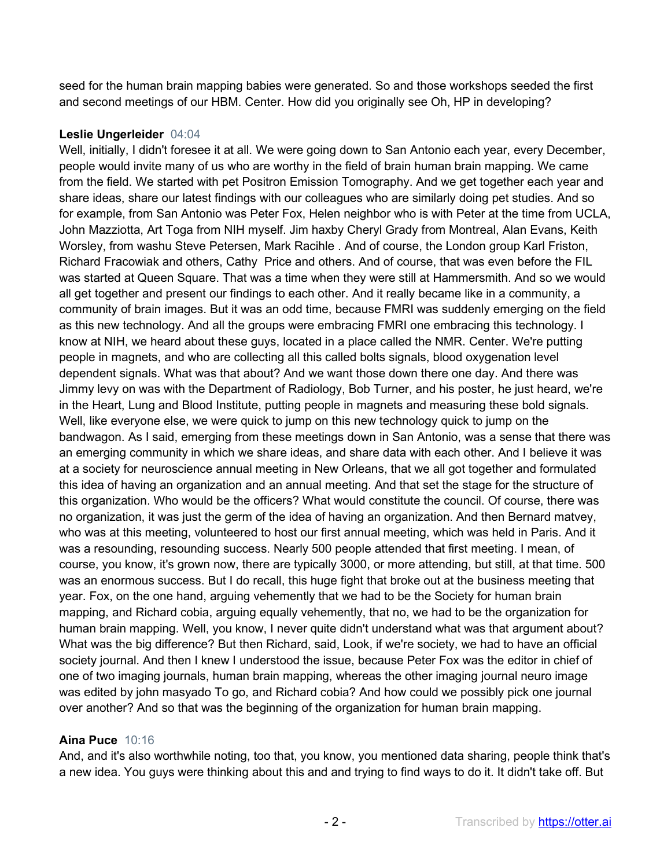seed for the human brain mapping babies were generated. So and those workshops seeded the first and second meetings of our HBM. Center. How did you originally see Oh, HP in developing?

## **Leslie Ungerleider** 04:04

Well, initially, I didn't foresee it at all. We were going down to San Antonio each year, every December, people would invite many of us who are worthy in the field of brain human brain mapping. We came from the field. We started with pet Positron Emission Tomography. And we get together each year and share ideas, share our latest findings with our colleagues who are similarly doing pet studies. And so for example, from San Antonio was Peter Fox, Helen neighbor who is with Peter at the time from UCLA, John Mazziotta, Art Toga from NIH myself. Jim haxby Cheryl Grady from Montreal, Alan Evans, Keith Worsley, from washu Steve Petersen, Mark Racihle . And of course, the London group Karl Friston, Richard Fracowiak and others, Cathy Price and others. And of course, that was even before the FIL was started at Queen Square. That was a time when they were still at Hammersmith. And so we would all get together and present our findings to each other. And it really became like in a community, a community of brain images. But it was an odd time, because FMRI was suddenly emerging on the field as this new technology. And all the groups were embracing FMRI one embracing this technology. I know at NIH, we heard about these guys, located in a place called the NMR. Center. We're putting people in magnets, and who are collecting all this called bolts signals, blood oxygenation level dependent signals. What was that about? And we want those down there one day. And there was Jimmy levy on was with the Department of Radiology, Bob Turner, and his poster, he just heard, we're in the Heart, Lung and Blood Institute, putting people in magnets and measuring these bold signals. Well, like everyone else, we were quick to jump on this new technology quick to jump on the bandwagon. As I said, emerging from these meetings down in San Antonio, was a sense that there was an emerging community in which we share ideas, and share data with each other. And I believe it was at a society for neuroscience annual meeting in New Orleans, that we all got together and formulated this idea of having an organization and an annual meeting. And that set the stage for the structure of this organization. Who would be the officers? What would constitute the council. Of course, there was no organization, it was just the germ of the idea of having an organization. And then Bernard matvey, who was at this meeting, volunteered to host our first annual meeting, which was held in Paris. And it was a resounding, resounding success. Nearly 500 people attended that first meeting. I mean, of course, you know, it's grown now, there are typically 3000, or more attending, but still, at that time. 500 was an enormous success. But I do recall, this huge fight that broke out at the business meeting that year. Fox, on the one hand, arguing vehemently that we had to be the Society for human brain mapping, and Richard cobia, arguing equally vehemently, that no, we had to be the organization for human brain mapping. Well, you know, I never quite didn't understand what was that argument about? What was the big difference? But then Richard, said, Look, if we're society, we had to have an official society journal. And then I knew I understood the issue, because Peter Fox was the editor in chief of one of two imaging journals, human brain mapping, whereas the other imaging journal neuro image was edited by john masyado To go, and Richard cobia? And how could we possibly pick one journal over another? And so that was the beginning of the organization for human brain mapping.

## **Aina Puce** 10:16

And, and it's also worthwhile noting, too that, you know, you mentioned data sharing, people think that's a new idea. You guys were thinking about this and and trying to find ways to do it. It didn't take off. But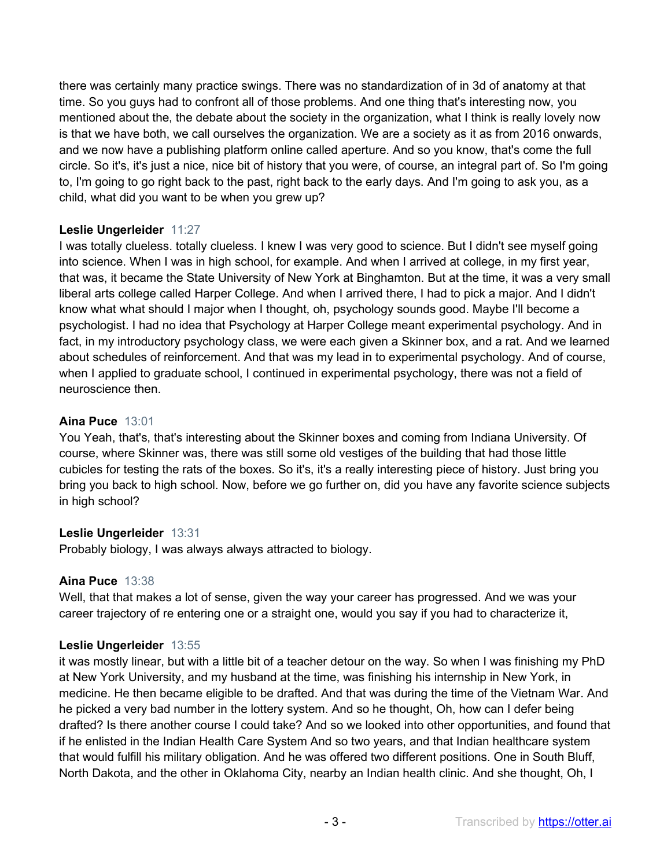there was certainly many practice swings. There was no standardization of in 3d of anatomy at that time. So you guys had to confront all of those problems. And one thing that's interesting now, you mentioned about the, the debate about the society in the organization, what I think is really lovely now is that we have both, we call ourselves the organization. We are a society as it as from 2016 onwards, and we now have a publishing platform online called aperture. And so you know, that's come the full circle. So it's, it's just a nice, nice bit of history that you were, of course, an integral part of. So I'm going to, I'm going to go right back to the past, right back to the early days. And I'm going to ask you, as a child, what did you want to be when you grew up?

## **Leslie Ungerleider** 11:27

I was totally clueless. totally clueless. I knew I was very good to science. But I didn't see myself going into science. When I was in high school, for example. And when I arrived at college, in my first year, that was, it became the State University of New York at Binghamton. But at the time, it was a very small liberal arts college called Harper College. And when I arrived there, I had to pick a major. And I didn't know what what should I major when I thought, oh, psychology sounds good. Maybe I'll become a psychologist. I had no idea that Psychology at Harper College meant experimental psychology. And in fact, in my introductory psychology class, we were each given a Skinner box, and a rat. And we learned about schedules of reinforcement. And that was my lead in to experimental psychology. And of course, when I applied to graduate school, I continued in experimental psychology, there was not a field of neuroscience then.

## **Aina Puce** 13:01

You Yeah, that's, that's interesting about the Skinner boxes and coming from Indiana University. Of course, where Skinner was, there was still some old vestiges of the building that had those little cubicles for testing the rats of the boxes. So it's, it's a really interesting piece of history. Just bring you bring you back to high school. Now, before we go further on, did you have any favorite science subjects in high school?

# **Leslie Ungerleider** 13:31

Probably biology, I was always always attracted to biology.

# **Aina Puce** 13:38

Well, that that makes a lot of sense, given the way your career has progressed. And we was your career trajectory of re entering one or a straight one, would you say if you had to characterize it,

# **Leslie Ungerleider** 13:55

it was mostly linear, but with a little bit of a teacher detour on the way. So when I was finishing my PhD at New York University, and my husband at the time, was finishing his internship in New York, in medicine. He then became eligible to be drafted. And that was during the time of the Vietnam War. And he picked a very bad number in the lottery system. And so he thought, Oh, how can I defer being drafted? Is there another course I could take? And so we looked into other opportunities, and found that if he enlisted in the Indian Health Care System And so two years, and that Indian healthcare system that would fulfill his military obligation. And he was offered two different positions. One in South Bluff, North Dakota, and the other in Oklahoma City, nearby an Indian health clinic. And she thought, Oh, I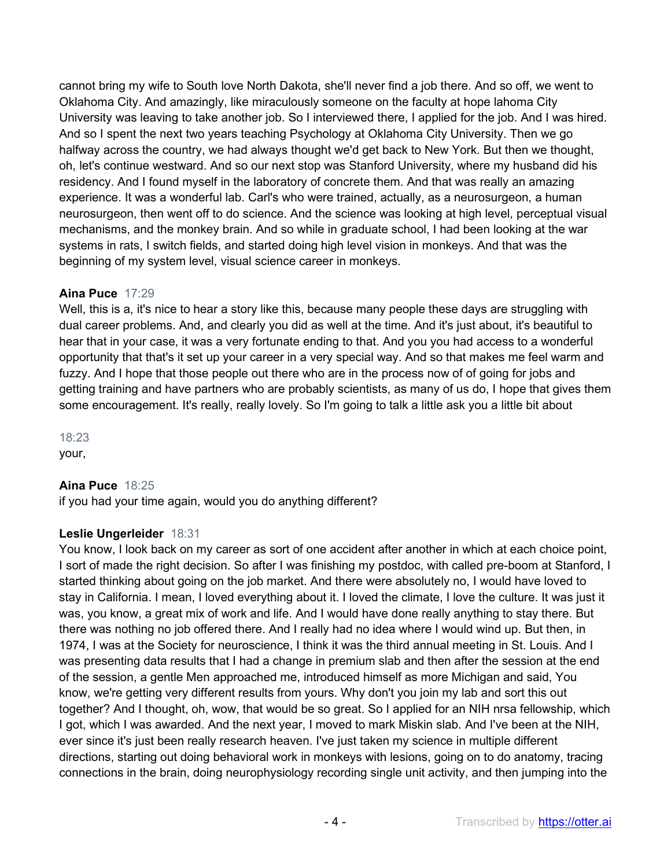cannot bring my wife to South love North Dakota, she'll never find a job there. And so off, we went to Oklahoma City. And amazingly, like miraculously someone on the faculty at hope lahoma City University was leaving to take another job. So I interviewed there, I applied for the job. And I was hired. And so I spent the next two years teaching Psychology at Oklahoma City University. Then we go halfway across the country, we had always thought we'd get back to New York. But then we thought, oh, let's continue westward. And so our next stop was Stanford University, where my husband did his residency. And I found myself in the laboratory of concrete them. And that was really an amazing experience. It was a wonderful lab. Carl's who were trained, actually, as a neurosurgeon, a human neurosurgeon, then went off to do science. And the science was looking at high level, perceptual visual mechanisms, and the monkey brain. And so while in graduate school, I had been looking at the war systems in rats, I switch fields, and started doing high level vision in monkeys. And that was the beginning of my system level, visual science career in monkeys.

# **Aina Puce** 17:29

Well, this is a, it's nice to hear a story like this, because many people these days are struggling with dual career problems. And, and clearly you did as well at the time. And it's just about, it's beautiful to hear that in your case, it was a very fortunate ending to that. And you you had access to a wonderful opportunity that that's it set up your career in a very special way. And so that makes me feel warm and fuzzy. And I hope that those people out there who are in the process now of of going for jobs and getting training and have partners who are probably scientists, as many of us do, I hope that gives them some encouragement. It's really, really lovely. So I'm going to talk a little ask you a little bit about

18:23 your,

# **Aina Puce** 18:25

if you had your time again, would you do anything different?

# **Leslie Ungerleider** 18:31

You know, I look back on my career as sort of one accident after another in which at each choice point, I sort of made the right decision. So after I was finishing my postdoc, with called pre-boom at Stanford, I started thinking about going on the job market. And there were absolutely no, I would have loved to stay in California. I mean, I loved everything about it. I loved the climate, I love the culture. It was just it was, you know, a great mix of work and life. And I would have done really anything to stay there. But there was nothing no job offered there. And I really had no idea where I would wind up. But then, in 1974, I was at the Society for neuroscience, I think it was the third annual meeting in St. Louis. And I was presenting data results that I had a change in premium slab and then after the session at the end of the session, a gentle Men approached me, introduced himself as more Michigan and said, You know, we're getting very different results from yours. Why don't you join my lab and sort this out together? And I thought, oh, wow, that would be so great. So I applied for an NIH nrsa fellowship, which I got, which I was awarded. And the next year, I moved to mark Miskin slab. And I've been at the NIH, ever since it's just been really research heaven. I've just taken my science in multiple different directions, starting out doing behavioral work in monkeys with lesions, going on to do anatomy, tracing connections in the brain, doing neurophysiology recording single unit activity, and then jumping into the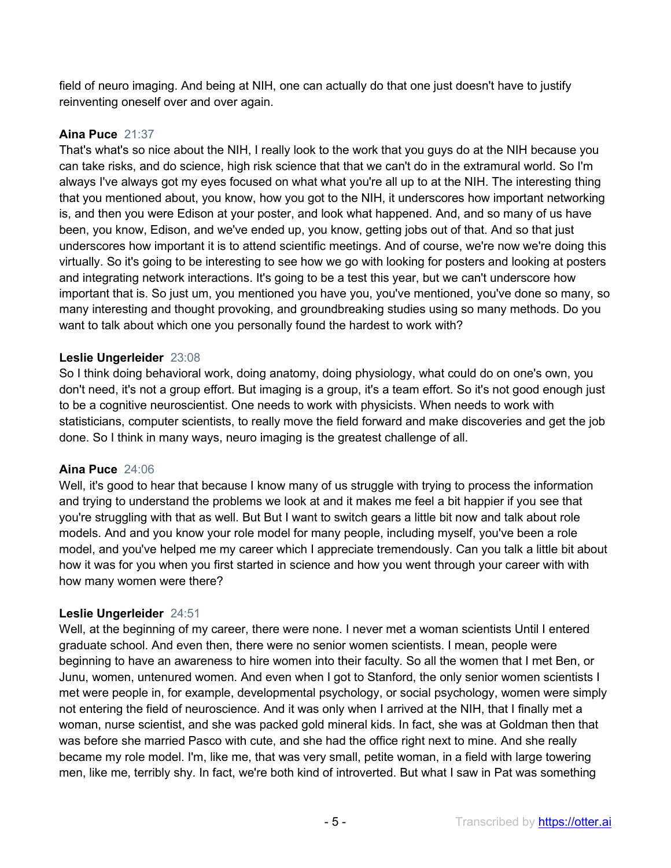field of neuro imaging. And being at NIH, one can actually do that one just doesn't have to justify reinventing oneself over and over again.

# **Aina Puce** 21:37

That's what's so nice about the NIH, I really look to the work that you guys do at the NIH because you can take risks, and do science, high risk science that that we can't do in the extramural world. So I'm always I've always got my eyes focused on what what you're all up to at the NIH. The interesting thing that you mentioned about, you know, how you got to the NIH, it underscores how important networking is, and then you were Edison at your poster, and look what happened. And, and so many of us have been, you know, Edison, and we've ended up, you know, getting jobs out of that. And so that just underscores how important it is to attend scientific meetings. And of course, we're now we're doing this virtually. So it's going to be interesting to see how we go with looking for posters and looking at posters and integrating network interactions. It's going to be a test this year, but we can't underscore how important that is. So just um, you mentioned you have you, you've mentioned, you've done so many, so many interesting and thought provoking, and groundbreaking studies using so many methods. Do you want to talk about which one you personally found the hardest to work with?

# **Leslie Ungerleider** 23:08

So I think doing behavioral work, doing anatomy, doing physiology, what could do on one's own, you don't need, it's not a group effort. But imaging is a group, it's a team effort. So it's not good enough just to be a cognitive neuroscientist. One needs to work with physicists. When needs to work with statisticians, computer scientists, to really move the field forward and make discoveries and get the job done. So I think in many ways, neuro imaging is the greatest challenge of all.

# **Aina Puce** 24:06

Well, it's good to hear that because I know many of us struggle with trying to process the information and trying to understand the problems we look at and it makes me feel a bit happier if you see that you're struggling with that as well. But But I want to switch gears a little bit now and talk about role models. And and you know your role model for many people, including myself, you've been a role model, and you've helped me my career which I appreciate tremendously. Can you talk a little bit about how it was for you when you first started in science and how you went through your career with with how many women were there?

# **Leslie Ungerleider** 24:51

Well, at the beginning of my career, there were none. I never met a woman scientists Until I entered graduate school. And even then, there were no senior women scientists. I mean, people were beginning to have an awareness to hire women into their faculty. So all the women that I met Ben, or Junu, women, untenured women. And even when I got to Stanford, the only senior women scientists I met were people in, for example, developmental psychology, or social psychology, women were simply not entering the field of neuroscience. And it was only when I arrived at the NIH, that I finally met a woman, nurse scientist, and she was packed gold mineral kids. In fact, she was at Goldman then that was before she married Pasco with cute, and she had the office right next to mine. And she really became my role model. I'm, like me, that was very small, petite woman, in a field with large towering men, like me, terribly shy. In fact, we're both kind of introverted. But what I saw in Pat was something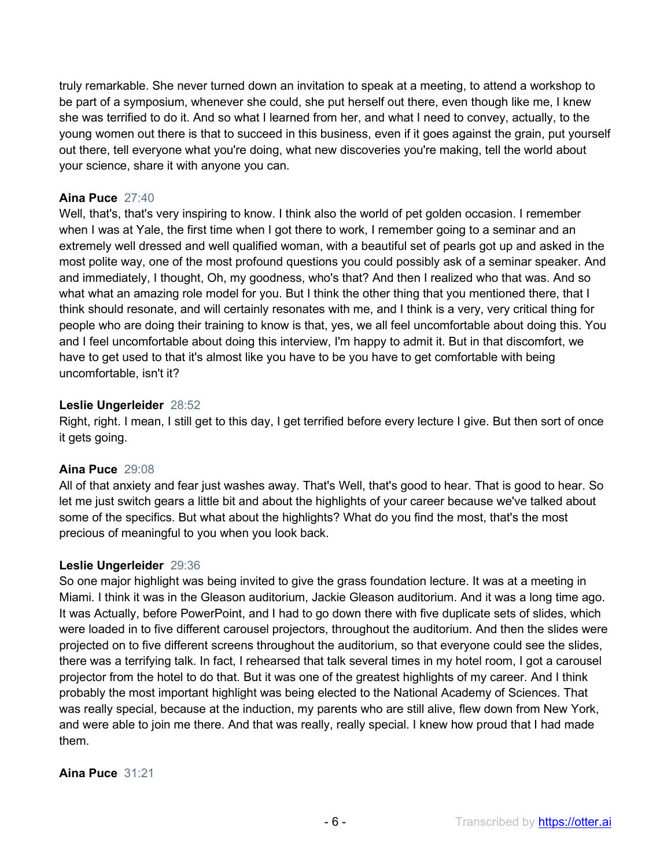truly remarkable. She never turned down an invitation to speak at a meeting, to attend a workshop to be part of a symposium, whenever she could, she put herself out there, even though like me, I knew she was terrified to do it. And so what I learned from her, and what I need to convey, actually, to the young women out there is that to succeed in this business, even if it goes against the grain, put yourself out there, tell everyone what you're doing, what new discoveries you're making, tell the world about your science, share it with anyone you can.

## **Aina Puce** 27:40

Well, that's, that's very inspiring to know. I think also the world of pet golden occasion. I remember when I was at Yale, the first time when I got there to work, I remember going to a seminar and an extremely well dressed and well qualified woman, with a beautiful set of pearls got up and asked in the most polite way, one of the most profound questions you could possibly ask of a seminar speaker. And and immediately, I thought, Oh, my goodness, who's that? And then I realized who that was. And so what what an amazing role model for you. But I think the other thing that you mentioned there, that I think should resonate, and will certainly resonates with me, and I think is a very, very critical thing for people who are doing their training to know is that, yes, we all feel uncomfortable about doing this. You and I feel uncomfortable about doing this interview, I'm happy to admit it. But in that discomfort, we have to get used to that it's almost like you have to be you have to get comfortable with being uncomfortable, isn't it?

## **Leslie Ungerleider** 28:52

Right, right. I mean, I still get to this day, I get terrified before every lecture I give. But then sort of once it gets going.

# **Aina Puce** 29:08

All of that anxiety and fear just washes away. That's Well, that's good to hear. That is good to hear. So let me just switch gears a little bit and about the highlights of your career because we've talked about some of the specifics. But what about the highlights? What do you find the most, that's the most precious of meaningful to you when you look back.

## **Leslie Ungerleider** 29:36

So one major highlight was being invited to give the grass foundation lecture. It was at a meeting in Miami. I think it was in the Gleason auditorium, Jackie Gleason auditorium. And it was a long time ago. It was Actually, before PowerPoint, and I had to go down there with five duplicate sets of slides, which were loaded in to five different carousel projectors, throughout the auditorium. And then the slides were projected on to five different screens throughout the auditorium, so that everyone could see the slides, there was a terrifying talk. In fact, I rehearsed that talk several times in my hotel room, I got a carousel projector from the hotel to do that. But it was one of the greatest highlights of my career. And I think probably the most important highlight was being elected to the National Academy of Sciences. That was really special, because at the induction, my parents who are still alive, flew down from New York, and were able to join me there. And that was really, really special. I knew how proud that I had made them.

## **Aina Puce** 31:21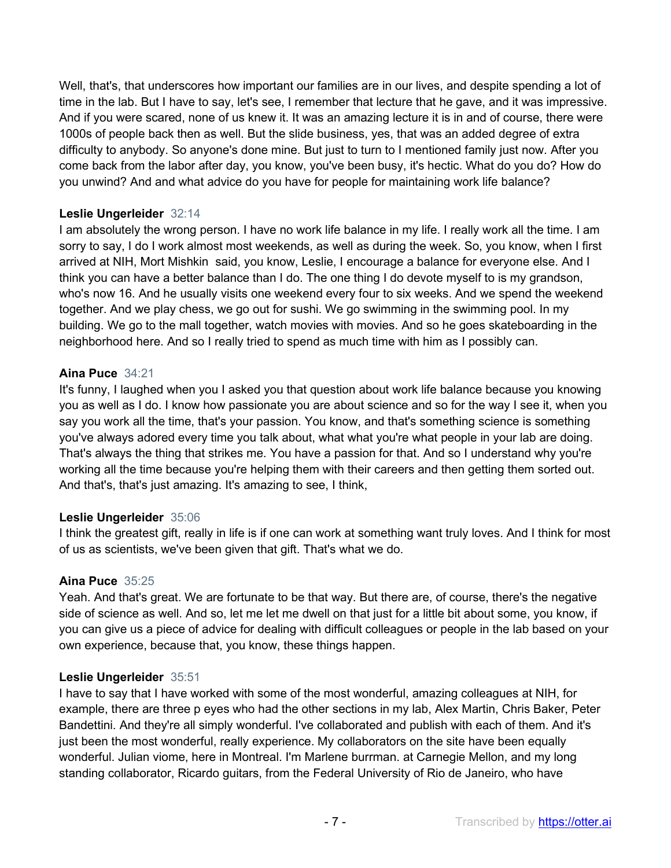Well, that's, that underscores how important our families are in our lives, and despite spending a lot of time in the lab. But I have to say, let's see, I remember that lecture that he gave, and it was impressive. And if you were scared, none of us knew it. It was an amazing lecture it is in and of course, there were 1000s of people back then as well. But the slide business, yes, that was an added degree of extra difficulty to anybody. So anyone's done mine. But just to turn to I mentioned family just now. After you come back from the labor after day, you know, you've been busy, it's hectic. What do you do? How do you unwind? And and what advice do you have for people for maintaining work life balance?

## **Leslie Ungerleider** 32:14

I am absolutely the wrong person. I have no work life balance in my life. I really work all the time. I am sorry to say, I do I work almost most weekends, as well as during the week. So, you know, when I first arrived at NIH, Mort Mishkin said, you know, Leslie, I encourage a balance for everyone else. And I think you can have a better balance than I do. The one thing I do devote myself to is my grandson, who's now 16. And he usually visits one weekend every four to six weeks. And we spend the weekend together. And we play chess, we go out for sushi. We go swimming in the swimming pool. In my building. We go to the mall together, watch movies with movies. And so he goes skateboarding in the neighborhood here. And so I really tried to spend as much time with him as I possibly can.

## **Aina Puce** 34:21

It's funny, I laughed when you I asked you that question about work life balance because you knowing you as well as I do. I know how passionate you are about science and so for the way I see it, when you say you work all the time, that's your passion. You know, and that's something science is something you've always adored every time you talk about, what what you're what people in your lab are doing. That's always the thing that strikes me. You have a passion for that. And so I understand why you're working all the time because you're helping them with their careers and then getting them sorted out. And that's, that's just amazing. It's amazing to see, I think,

## **Leslie Ungerleider** 35:06

I think the greatest gift, really in life is if one can work at something want truly loves. And I think for most of us as scientists, we've been given that gift. That's what we do.

## **Aina Puce** 35:25

Yeah. And that's great. We are fortunate to be that way. But there are, of course, there's the negative side of science as well. And so, let me let me dwell on that just for a little bit about some, you know, if you can give us a piece of advice for dealing with difficult colleagues or people in the lab based on your own experience, because that, you know, these things happen.

## **Leslie Ungerleider** 35:51

I have to say that I have worked with some of the most wonderful, amazing colleagues at NIH, for example, there are three p eyes who had the other sections in my lab, Alex Martin, Chris Baker, Peter Bandettini. And they're all simply wonderful. I've collaborated and publish with each of them. And it's just been the most wonderful, really experience. My collaborators on the site have been equally wonderful. Julian viome, here in Montreal. I'm Marlene burrman. at Carnegie Mellon, and my long standing collaborator, Ricardo guitars, from the Federal University of Rio de Janeiro, who have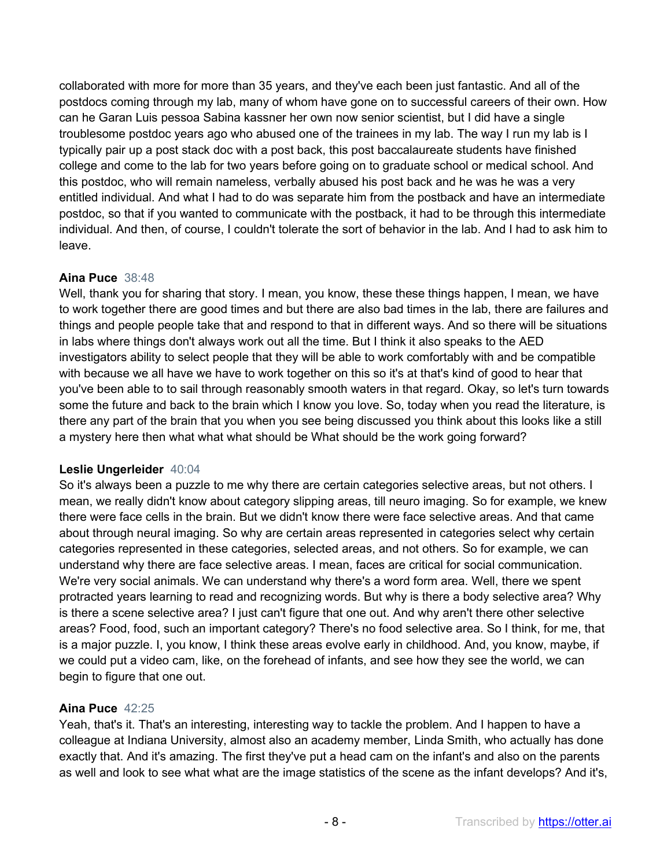collaborated with more for more than 35 years, and they've each been just fantastic. And all of the postdocs coming through my lab, many of whom have gone on to successful careers of their own. How can he Garan Luis pessoa Sabina kassner her own now senior scientist, but I did have a single troublesome postdoc years ago who abused one of the trainees in my lab. The way I run my lab is I typically pair up a post stack doc with a post back, this post baccalaureate students have finished college and come to the lab for two years before going on to graduate school or medical school. And this postdoc, who will remain nameless, verbally abused his post back and he was he was a very entitled individual. And what I had to do was separate him from the postback and have an intermediate postdoc, so that if you wanted to communicate with the postback, it had to be through this intermediate individual. And then, of course, I couldn't tolerate the sort of behavior in the lab. And I had to ask him to leave.

# **Aina Puce** 38:48

Well, thank you for sharing that story. I mean, you know, these these things happen, I mean, we have to work together there are good times and but there are also bad times in the lab, there are failures and things and people people take that and respond to that in different ways. And so there will be situations in labs where things don't always work out all the time. But I think it also speaks to the AED investigators ability to select people that they will be able to work comfortably with and be compatible with because we all have we have to work together on this so it's at that's kind of good to hear that you've been able to to sail through reasonably smooth waters in that regard. Okay, so let's turn towards some the future and back to the brain which I know you love. So, today when you read the literature, is there any part of the brain that you when you see being discussed you think about this looks like a still a mystery here then what what what should be What should be the work going forward?

# **Leslie Ungerleider** 40:04

So it's always been a puzzle to me why there are certain categories selective areas, but not others. I mean, we really didn't know about category slipping areas, till neuro imaging. So for example, we knew there were face cells in the brain. But we didn't know there were face selective areas. And that came about through neural imaging. So why are certain areas represented in categories select why certain categories represented in these categories, selected areas, and not others. So for example, we can understand why there are face selective areas. I mean, faces are critical for social communication. We're very social animals. We can understand why there's a word form area. Well, there we spent protracted years learning to read and recognizing words. But why is there a body selective area? Why is there a scene selective area? I just can't figure that one out. And why aren't there other selective areas? Food, food, such an important category? There's no food selective area. So I think, for me, that is a major puzzle. I, you know, I think these areas evolve early in childhood. And, you know, maybe, if we could put a video cam, like, on the forehead of infants, and see how they see the world, we can begin to figure that one out.

# **Aina Puce** 42:25

Yeah, that's it. That's an interesting, interesting way to tackle the problem. And I happen to have a colleague at Indiana University, almost also an academy member, Linda Smith, who actually has done exactly that. And it's amazing. The first they've put a head cam on the infant's and also on the parents as well and look to see what what are the image statistics of the scene as the infant develops? And it's,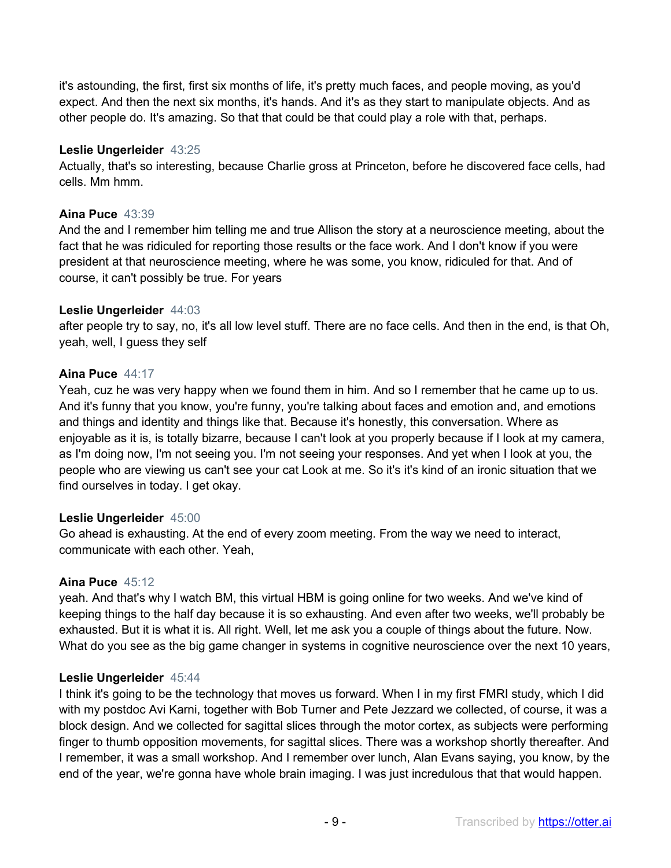it's astounding, the first, first six months of life, it's pretty much faces, and people moving, as you'd expect. And then the next six months, it's hands. And it's as they start to manipulate objects. And as other people do. It's amazing. So that that could be that could play a role with that, perhaps.

## **Leslie Ungerleider** 43:25

Actually, that's so interesting, because Charlie gross at Princeton, before he discovered face cells, had cells. Mm hmm.

## **Aina Puce** 43:39

And the and I remember him telling me and true Allison the story at a neuroscience meeting, about the fact that he was ridiculed for reporting those results or the face work. And I don't know if you were president at that neuroscience meeting, where he was some, you know, ridiculed for that. And of course, it can't possibly be true. For years

## **Leslie Ungerleider** 44:03

after people try to say, no, it's all low level stuff. There are no face cells. And then in the end, is that Oh, yeah, well, I guess they self

## **Aina Puce** 44:17

Yeah, cuz he was very happy when we found them in him. And so I remember that he came up to us. And it's funny that you know, you're funny, you're talking about faces and emotion and, and emotions and things and identity and things like that. Because it's honestly, this conversation. Where as enjoyable as it is, is totally bizarre, because I can't look at you properly because if I look at my camera, as I'm doing now, I'm not seeing you. I'm not seeing your responses. And yet when I look at you, the people who are viewing us can't see your cat Look at me. So it's it's kind of an ironic situation that we find ourselves in today. I get okay.

## **Leslie Ungerleider** 45:00

Go ahead is exhausting. At the end of every zoom meeting. From the way we need to interact, communicate with each other. Yeah,

## **Aina Puce** 45:12

yeah. And that's why I watch BM, this virtual HBM is going online for two weeks. And we've kind of keeping things to the half day because it is so exhausting. And even after two weeks, we'll probably be exhausted. But it is what it is. All right. Well, let me ask you a couple of things about the future. Now. What do you see as the big game changer in systems in cognitive neuroscience over the next 10 years,

## **Leslie Ungerleider** 45:44

I think it's going to be the technology that moves us forward. When I in my first FMRI study, which I did with my postdoc Avi Karni, together with Bob Turner and Pete Jezzard we collected, of course, it was a block design. And we collected for sagittal slices through the motor cortex, as subjects were performing finger to thumb opposition movements, for sagittal slices. There was a workshop shortly thereafter. And I remember, it was a small workshop. And I remember over lunch, Alan Evans saying, you know, by the end of the year, we're gonna have whole brain imaging. I was just incredulous that that would happen.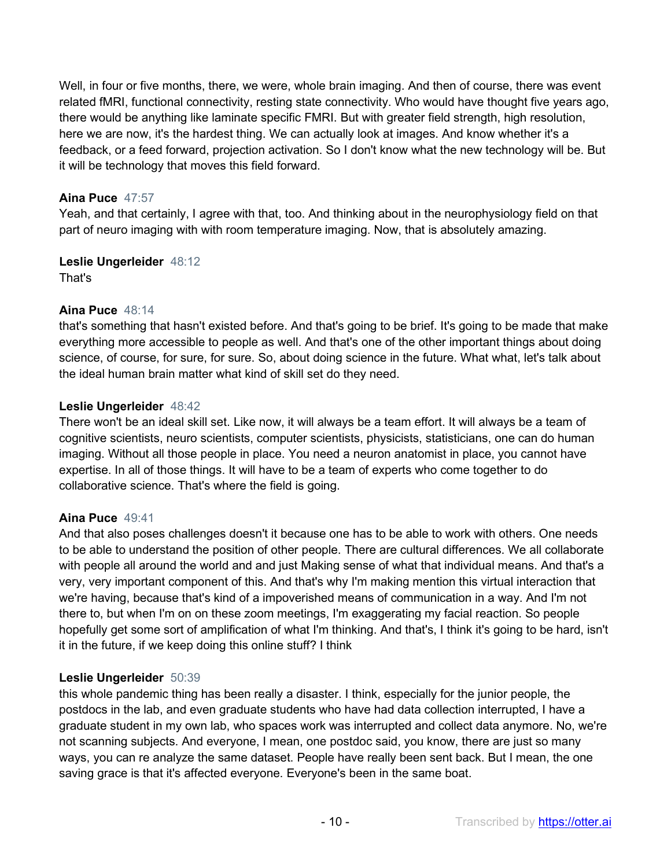Well, in four or five months, there, we were, whole brain imaging. And then of course, there was event related fMRI, functional connectivity, resting state connectivity. Who would have thought five years ago, there would be anything like laminate specific FMRI. But with greater field strength, high resolution, here we are now, it's the hardest thing. We can actually look at images. And know whether it's a feedback, or a feed forward, projection activation. So I don't know what the new technology will be. But it will be technology that moves this field forward.

# **Aina Puce** 47:57

Yeah, and that certainly, I agree with that, too. And thinking about in the neurophysiology field on that part of neuro imaging with with room temperature imaging. Now, that is absolutely amazing.

# **Leslie Ungerleider** 48:12

That's

# **Aina Puce** 48:14

that's something that hasn't existed before. And that's going to be brief. It's going to be made that make everything more accessible to people as well. And that's one of the other important things about doing science, of course, for sure, for sure. So, about doing science in the future. What what, let's talk about the ideal human brain matter what kind of skill set do they need.

# **Leslie Ungerleider** 48:42

There won't be an ideal skill set. Like now, it will always be a team effort. It will always be a team of cognitive scientists, neuro scientists, computer scientists, physicists, statisticians, one can do human imaging. Without all those people in place. You need a neuron anatomist in place, you cannot have expertise. In all of those things. It will have to be a team of experts who come together to do collaborative science. That's where the field is going.

# **Aina Puce** 49:41

And that also poses challenges doesn't it because one has to be able to work with others. One needs to be able to understand the position of other people. There are cultural differences. We all collaborate with people all around the world and and just Making sense of what that individual means. And that's a very, very important component of this. And that's why I'm making mention this virtual interaction that we're having, because that's kind of a impoverished means of communication in a way. And I'm not there to, but when I'm on on these zoom meetings, I'm exaggerating my facial reaction. So people hopefully get some sort of amplification of what I'm thinking. And that's, I think it's going to be hard, isn't it in the future, if we keep doing this online stuff? I think

# **Leslie Ungerleider** 50:39

this whole pandemic thing has been really a disaster. I think, especially for the junior people, the postdocs in the lab, and even graduate students who have had data collection interrupted, I have a graduate student in my own lab, who spaces work was interrupted and collect data anymore. No, we're not scanning subjects. And everyone, I mean, one postdoc said, you know, there are just so many ways, you can re analyze the same dataset. People have really been sent back. But I mean, the one saving grace is that it's affected everyone. Everyone's been in the same boat.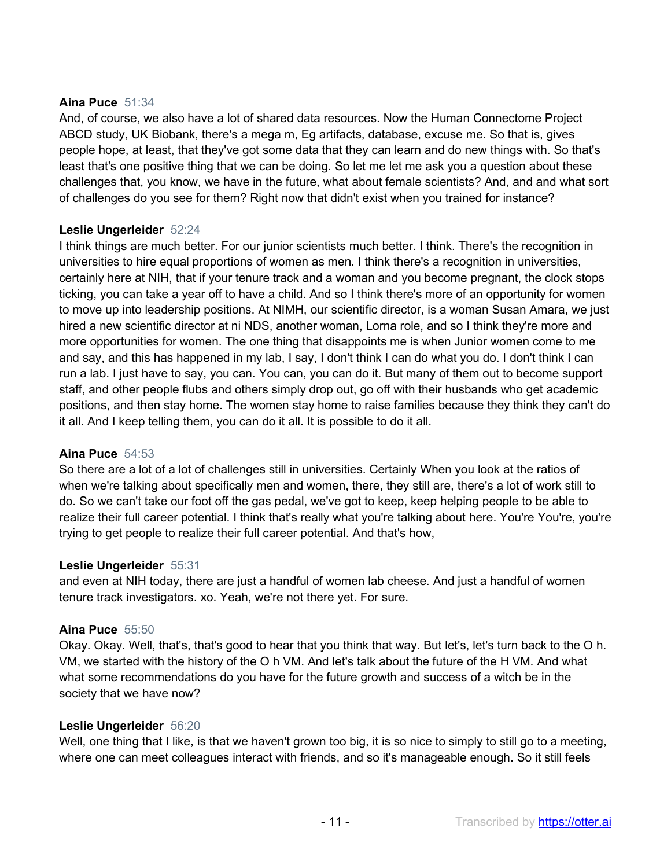## **Aina Puce** 51:34

And, of course, we also have a lot of shared data resources. Now the Human Connectome Project ABCD study, UK Biobank, there's a mega m, Eg artifacts, database, excuse me. So that is, gives people hope, at least, that they've got some data that they can learn and do new things with. So that's least that's one positive thing that we can be doing. So let me let me ask you a question about these challenges that, you know, we have in the future, what about female scientists? And, and and what sort of challenges do you see for them? Right now that didn't exist when you trained for instance?

## **Leslie Ungerleider** 52:24

I think things are much better. For our junior scientists much better. I think. There's the recognition in universities to hire equal proportions of women as men. I think there's a recognition in universities, certainly here at NIH, that if your tenure track and a woman and you become pregnant, the clock stops ticking, you can take a year off to have a child. And so I think there's more of an opportunity for women to move up into leadership positions. At NIMH, our scientific director, is a woman Susan Amara, we just hired a new scientific director at ni NDS, another woman, Lorna role, and so I think they're more and more opportunities for women. The one thing that disappoints me is when Junior women come to me and say, and this has happened in my lab, I say, I don't think I can do what you do. I don't think I can run a lab. I just have to say, you can. You can, you can do it. But many of them out to become support staff, and other people flubs and others simply drop out, go off with their husbands who get academic positions, and then stay home. The women stay home to raise families because they think they can't do it all. And I keep telling them, you can do it all. It is possible to do it all.

## **Aina Puce** 54:53

So there are a lot of a lot of challenges still in universities. Certainly When you look at the ratios of when we're talking about specifically men and women, there, they still are, there's a lot of work still to do. So we can't take our foot off the gas pedal, we've got to keep, keep helping people to be able to realize their full career potential. I think that's really what you're talking about here. You're You're, you're trying to get people to realize their full career potential. And that's how,

## **Leslie Ungerleider** 55:31

and even at NIH today, there are just a handful of women lab cheese. And just a handful of women tenure track investigators. xo. Yeah, we're not there yet. For sure.

# **Aina Puce** 55:50

Okay. Okay. Well, that's, that's good to hear that you think that way. But let's, let's turn back to the O h. VM, we started with the history of the O h VM. And let's talk about the future of the H VM. And what what some recommendations do you have for the future growth and success of a witch be in the society that we have now?

## **Leslie Ungerleider** 56:20

Well, one thing that I like, is that we haven't grown too big, it is so nice to simply to still go to a meeting, where one can meet colleagues interact with friends, and so it's manageable enough. So it still feels